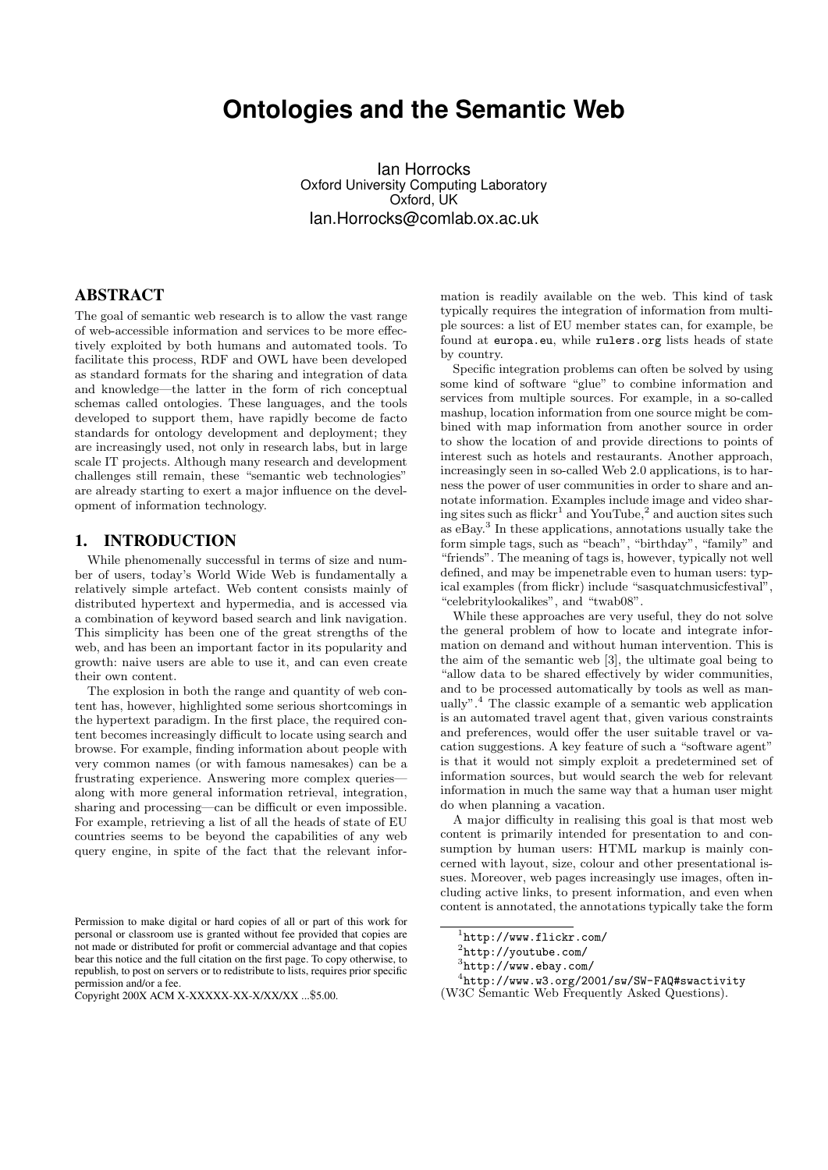# **Ontologies and the Semantic Web**

Ian Horrocks Oxford University Computing Laboratory Oxford, UK Ian.Horrocks@comlab.ox.ac.uk

## ABSTRACT

The goal of semantic web research is to allow the vast range of web-accessible information and services to be more effectively exploited by both humans and automated tools. To facilitate this process, RDF and OWL have been developed as standard formats for the sharing and integration of data and knowledge—the latter in the form of rich conceptual schemas called ontologies. These languages, and the tools developed to support them, have rapidly become de facto standards for ontology development and deployment; they are increasingly used, not only in research labs, but in large scale IT projects. Although many research and development challenges still remain, these "semantic web technologies" are already starting to exert a major influence on the development of information technology.

## 1. INTRODUCTION

While phenomenally successful in terms of size and number of users, today's World Wide Web is fundamentally a relatively simple artefact. Web content consists mainly of distributed hypertext and hypermedia, and is accessed via a combination of keyword based search and link navigation. This simplicity has been one of the great strengths of the web, and has been an important factor in its popularity and growth: naive users are able to use it, and can even create their own content.

The explosion in both the range and quantity of web content has, however, highlighted some serious shortcomings in the hypertext paradigm. In the first place, the required content becomes increasingly difficult to locate using search and browse. For example, finding information about people with very common names (or with famous namesakes) can be a frustrating experience. Answering more complex queries along with more general information retrieval, integration, sharing and processing—can be difficult or even impossible. For example, retrieving a list of all the heads of state of EU countries seems to be beyond the capabilities of any web query engine, in spite of the fact that the relevant information is readily available on the web. This kind of task typically requires the integration of information from multiple sources: a list of EU member states can, for example, be found at europa.eu, while rulers.org lists heads of state by country.

Specific integration problems can often be solved by using some kind of software "glue" to combine information and services from multiple sources. For example, in a so-called mashup, location information from one source might be combined with map information from another source in order to show the location of and provide directions to points of interest such as hotels and restaurants. Another approach, increasingly seen in so-called Web 2.0 applications, is to harness the power of user communities in order to share and annotate information. Examples include image and video sharing sites such as flick $r^1$  and YouTube,<sup>2</sup> and auction sites such as eBay.<sup>3</sup> In these applications, annotations usually take the form simple tags, such as "beach", "birthday", "family" and "friends". The meaning of tags is, however, typically not well defined, and may be impenetrable even to human users: typical examples (from flickr) include "sasquatchmusicfestival", "celebritylookalikes", and "twab08".

While these approaches are very useful, they do not solve the general problem of how to locate and integrate information on demand and without human intervention. This is the aim of the semantic web [3], the ultimate goal being to "allow data to be shared effectively by wider communities, and to be processed automatically by tools as well as manually".<sup>4</sup> The classic example of a semantic web application is an automated travel agent that, given various constraints and preferences, would offer the user suitable travel or vacation suggestions. A key feature of such a "software agent" is that it would not simply exploit a predetermined set of information sources, but would search the web for relevant information in much the same way that a human user might do when planning a vacation.

A major difficulty in realising this goal is that most web content is primarily intended for presentation to and consumption by human users: HTML markup is mainly concerned with layout, size, colour and other presentational issues. Moreover, web pages increasingly use images, often including active links, to present information, and even when content is annotated, the annotations typically take the form

Permission to make digital or hard copies of all or part of this work for personal or classroom use is granted without fee provided that copies are not made or distributed for profit or commercial advantage and that copies bear this notice and the full citation on the first page. To copy otherwise, to republish, to post on servers or to redistribute to lists, requires prior specific permission and/or a fee.

Copyright 200X ACM X-XXXXX-XX-X/XX/XX ...\$5.00.

<sup>1</sup> http://www.flickr.com/

<sup>2</sup> http://youtube.com/

 $3$ http://www.ebay.com/

<sup>4</sup> http://www.w3.org/2001/sw/SW-FAQ#swactivity (W3C Semantic Web Frequently Asked Questions).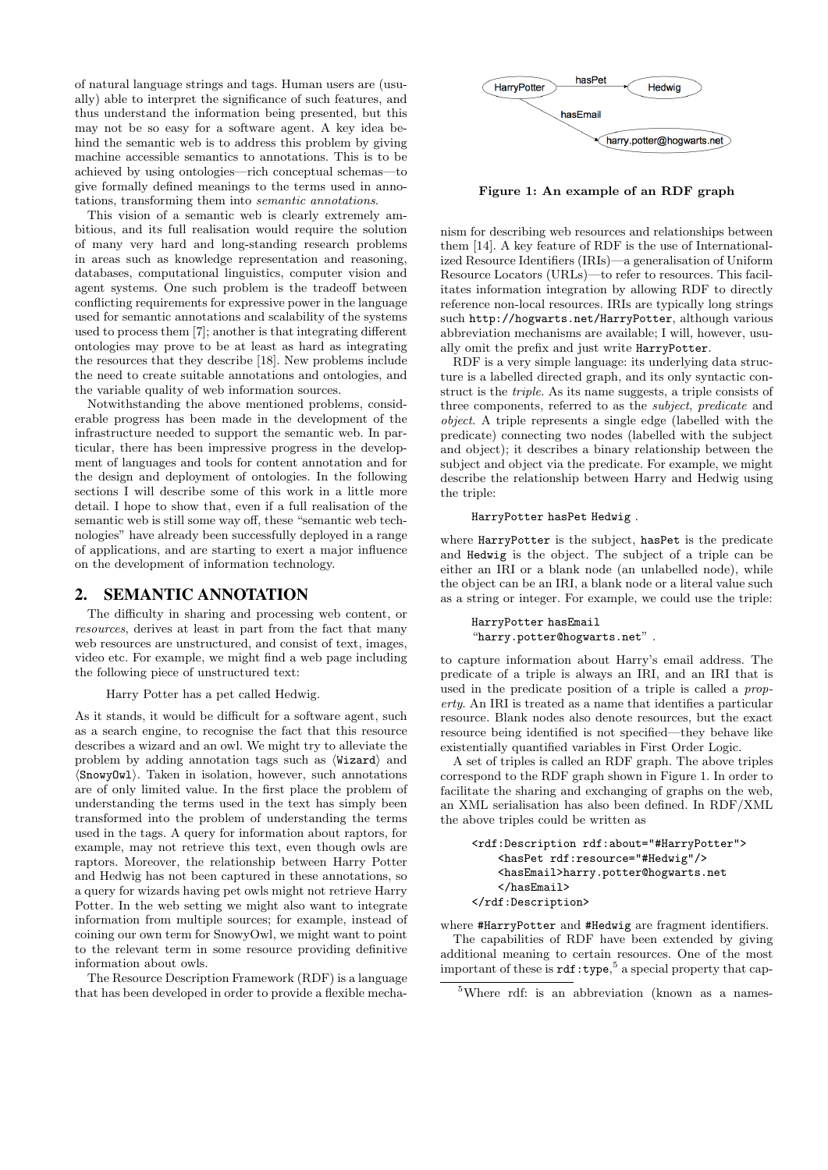of natural language strings and tags. Human users are (usually) able to interpret the significance of such features, and thus understand the information being presented, but this may not be so easy for a software agent. A key idea behind the semantic web is to address this problem by giving machine accessible semantics to annotations. This is to be achieved by using ontologies—rich conceptual schemas—to give formally defined meanings to the terms used in annotations, transforming them into semantic annotations.

This vision of a semantic web is clearly extremely ambitious, and its full realisation would require the solution of many very hard and long-standing research problems in areas such as knowledge representation and reasoning, databases, computational linguistics, computer vision and agent systems. One such problem is the tradeoff between conflicting requirements for expressive power in the language used for semantic annotations and scalability of the systems used to process them [7]; another is that integrating different ontologies may prove to be at least as hard as integrating the resources that they describe [18]. New problems include the need to create suitable annotations and ontologies, and the variable quality of web information sources.

Notwithstanding the above mentioned problems, considerable progress has been made in the development of the infrastructure needed to support the semantic web. In particular, there has been impressive progress in the development of languages and tools for content annotation and for the design and deployment of ontologies. In the following sections I will describe some of this work in a little more detail. I hope to show that, even if a full realisation of the semantic web is still some way off, these "semantic web technologies" have already been successfully deployed in a range of applications, and are starting to exert a major influence on the development of information technology.

# 2. SEMANTIC ANNOTATION

The difficulty in sharing and processing web content, or resources, derives at least in part from the fact that many web resources are unstructured, and consist of text, images, video etc. For example, we might find a web page including the following piece of unstructured text:

Harry Potter has a pet called Hedwig.

As it stands, it would be difficult for a software agent, such as a search engine, to recognise the fact that this resource describes a wizard and an owl. We might try to alleviate the problem by adding annotation tags such as  $\langle Wizard \rangle$  and  $\langle$ SnowyOwl). Taken in isolation, however, such annotations are of only limited value. In the first place the problem of understanding the terms used in the text has simply been transformed into the problem of understanding the terms used in the tags. A query for information about raptors, for example, may not retrieve this text, even though owls are raptors. Moreover, the relationship between Harry Potter and Hedwig has not been captured in these annotations, so a query for wizards having pet owls might not retrieve Harry Potter. In the web setting we might also want to integrate information from multiple sources; for example, instead of coining our own term for SnowyOwl, we might want to point to the relevant term in some resource providing definitive information about owls.

The Resource Description Framework (RDF) is a language that has been developed in order to provide a flexible mecha-



Figure 1: An example of an RDF graph

nism for describing web resources and relationships between them [14]. A key feature of RDF is the use of Internationalized Resource Identifiers (IRIs)—a generalisation of Uniform Resource Locators (URLs)—to refer to resources. This facilitates information integration by allowing RDF to directly reference non-local resources. IRIs are typically long strings such http://hogwarts.net/HarryPotter, although various abbreviation mechanisms are available; I will, however, usually omit the prefix and just write HarryPotter.

RDF is a very simple language: its underlying data structure is a labelled directed graph, and its only syntactic construct is the triple. As its name suggests, a triple consists of three components, referred to as the subject, predicate and object. A triple represents a single edge (labelled with the predicate) connecting two nodes (labelled with the subject and object); it describes a binary relationship between the subject and object via the predicate. For example, we might describe the relationship between Harry and Hedwig using the triple:

#### HarryPotter hasPet Hedwig .

where HarryPotter is the subject, hasPet is the predicate and Hedwig is the object. The subject of a triple can be either an IRI or a blank node (an unlabelled node), while the object can be an IRI, a blank node or a literal value such as a string or integer. For example, we could use the triple:

```
HarryPotter hasEmail
"harry.potter@hogwarts.net" .
```
to capture information about Harry's email address. The predicate of a triple is always an IRI, and an IRI that is used in the predicate position of a triple is called a property. An IRI is treated as a name that identifies a particular resource. Blank nodes also denote resources, but the exact resource being identified is not specified—they behave like existentially quantified variables in First Order Logic.

A set of triples is called an RDF graph. The above triples correspond to the RDF graph shown in Figure 1. In order to facilitate the sharing and exchanging of graphs on the web, an XML serialisation has also been defined. In RDF/XML the above triples could be written as

```
<rdf:Description rdf:about="#HarryPotter">
    <hasPet rdf:resource="#Hedwig"/>
    <hasEmail>harry.potter@hogwarts.net
    </hasEmail>
</rdf:Description>
```
where #HarryPotter and #Hedwig are fragment identifiers. The capabilities of RDF have been extended by giving additional meaning to certain resources. One of the most important of these is  $\texttt{rdf:type}$ ,  $5$  a special property that cap-

<sup>&</sup>lt;sup>5</sup>Where rdf: is an abbreviation (known as a names-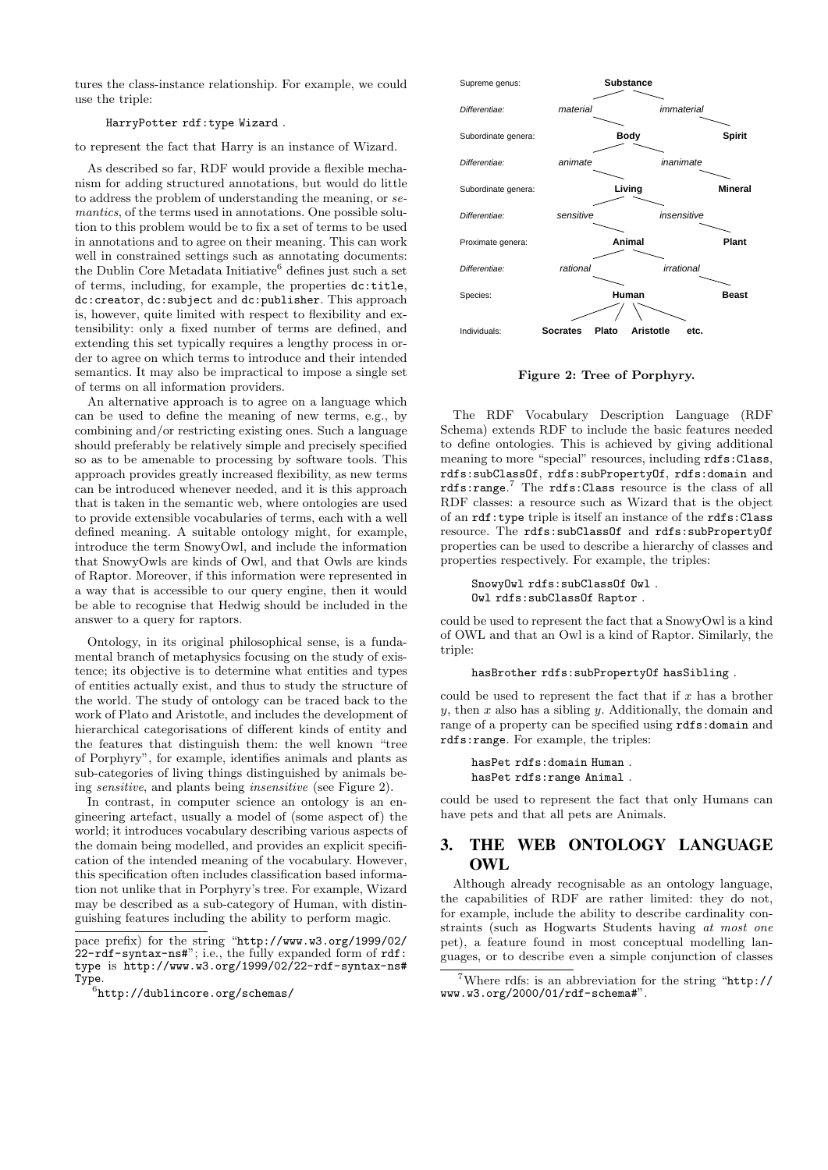tures the class-instance relationship. For example, we could use the triple:

#### HarryPotter rdf:type Wizard .

to represent the fact that Harry is an instance of Wizard.

As described so far, RDF would provide a flexible mechanism for adding structured annotations, but would do little to address the problem of understanding the meaning, or semantics, of the terms used in annotations. One possible solution to this problem would be to fix a set of terms to be used in annotations and to agree on their meaning. This can work well in constrained settings such as annotating documents: the Dublin Core Metadata Initiative<sup>6</sup> defines just such a set of terms, including, for example, the properties dc:title, dc:creator, dc:subject and dc:publisher. This approach is, however, quite limited with respect to flexibility and extensibility: only a fixed number of terms are defined, and extending this set typically requires a lengthy process in order to agree on which terms to introduce and their intended semantics. It may also be impractical to impose a single set of terms on all information providers.

An alternative approach is to agree on a language which can be used to define the meaning of new terms, e.g., by combining and/or restricting existing ones. Such a language should preferably be relatively simple and precisely specified so as to be amenable to processing by software tools. This approach provides greatly increased flexibility, as new terms can be introduced whenever needed, and it is this approach that is taken in the semantic web, where ontologies are used to provide extensible vocabularies of terms, each with a well defined meaning. A suitable ontology might, for example, introduce the term SnowyOwl, and include the information that SnowyOwls are kinds of Owl, and that Owls are kinds of Raptor. Moreover, if this information were represented in a way that is accessible to our query engine, then it would be able to recognise that Hedwig should be included in the answer to a query for raptors.

Ontology, in its original philosophical sense, is a fundamental branch of metaphysics focusing on the study of existence; its objective is to determine what entities and types of entities actually exist, and thus to study the structure of the world. The study of ontology can be traced back to the work of Plato and Aristotle, and includes the development of hierarchical categorisations of different kinds of entity and the features that distinguish them: the well known "tree of Porphyry", for example, identifies animals and plants as sub-categories of living things distinguished by animals being sensitive, and plants being insensitive (see Figure 2).

In contrast, in computer science an ontology is an engineering artefact, usually a model of (some aspect of) the world; it introduces vocabulary describing various aspects of the domain being modelled, and provides an explicit specification of the intended meaning of the vocabulary. However, this specification often includes classification based information not unlike that in Porphyry's tree. For example, Wizard may be described as a sub-category of Human, with distinguishing features including the ability to perform magic.



Figure 2: Tree of Porphyry.

The RDF Vocabulary Description Language (RDF Schema) extends RDF to include the basic features needed to define ontologies. This is achieved by giving additional meaning to more "special" resources, including rdfs:Class, rdfs:subClassOf, rdfs:subPropertyOf, rdfs:domain and rdfs:range. <sup>7</sup> The rdfs:Class resource is the class of all RDF classes: a resource such as Wizard that is the object of an rdf:type triple is itself an instance of the rdfs:Class resource. The rdfs:subClassOf and rdfs:subPropertyOf properties can be used to describe a hierarchy of classes and properties respectively. For example, the triples:

```
SnowyOwl rdfs:subClassOf Owl .
Owl rdfs:subClassOf Raptor .
```
could be used to represent the fact that a SnowyOwl is a kind of OWL and that an Owl is a kind of Raptor. Similarly, the triple:

#### hasBrother rdfs:subPropertyOf hasSibling .

could be used to represent the fact that if  $x$  has a brother  $y$ , then  $x$  also has a sibling  $y$ . Additionally, the domain and range of a property can be specified using rdfs:domain and rdfs:range. For example, the triples:

hasPet rdfs:domain Human . hasPet rdfs:range Animal .

could be used to represent the fact that only Humans can have pets and that all pets are Animals.

# 3. THE WEB ONTOLOGY LANGUAGE OWL

Although already recognisable as an ontology language, the capabilities of RDF are rather limited: they do not, for example, include the ability to describe cardinality constraints (such as Hogwarts Students having at most one pet), a feature found in most conceptual modelling languages, or to describe even a simple conjunction of classes

pace prefix) for the string "http://www.w3.org/1999/02/ 22-rdf-syntax-ns#"; i.e., the fully expanded form of rdf: type is http://www.w3.org/1999/02/22-rdf-syntax-ns# Type.

 $^6$ http://dublincore.org/schemas/

<sup>7</sup>Where rdfs: is an abbreviation for the string "http:// www.w3.org/2000/01/rdf-schema#".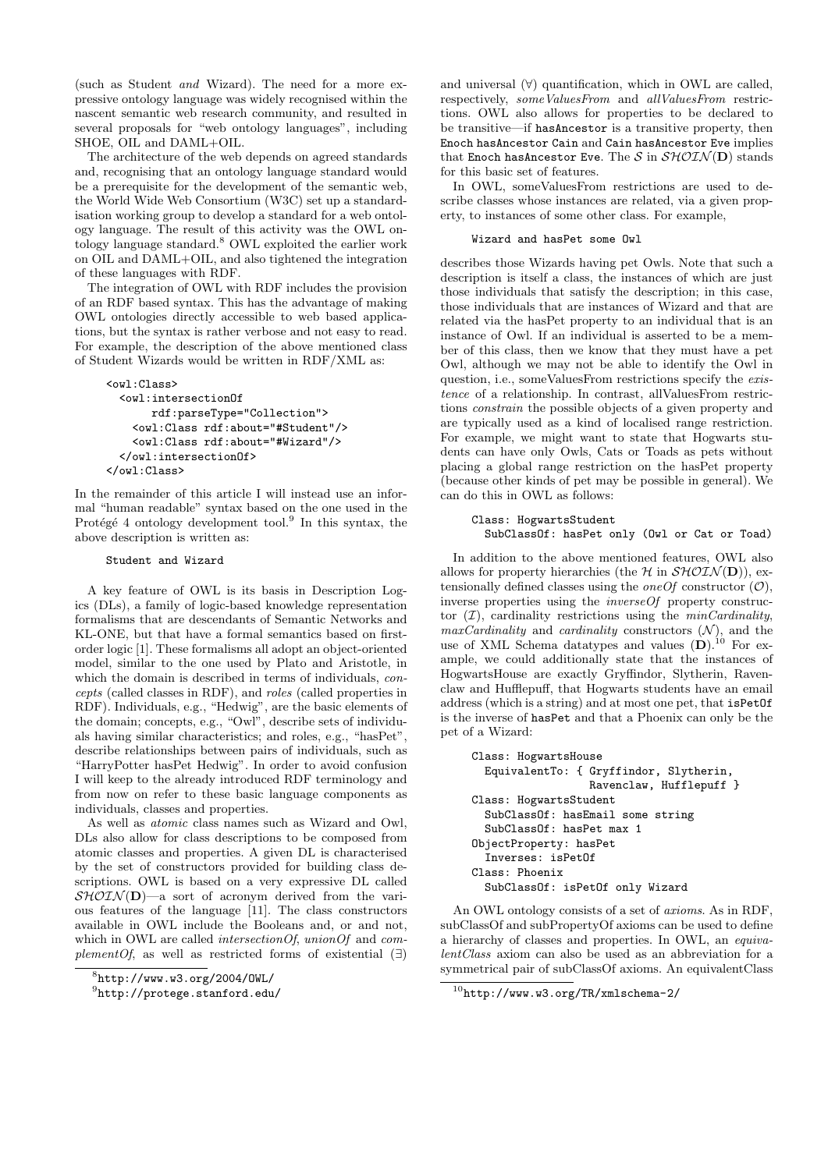(such as Student and Wizard). The need for a more expressive ontology language was widely recognised within the nascent semantic web research community, and resulted in several proposals for "web ontology languages", including SHOE, OIL and DAML+OIL.

The architecture of the web depends on agreed standards and, recognising that an ontology language standard would be a prerequisite for the development of the semantic web, the World Wide Web Consortium (W3C) set up a standardisation working group to develop a standard for a web ontology language. The result of this activity was the OWL ontology language standard.<sup>8</sup> OWL exploited the earlier work on OIL and DAML+OIL, and also tightened the integration of these languages with RDF.

The integration of OWL with RDF includes the provision of an RDF based syntax. This has the advantage of making OWL ontologies directly accessible to web based applications, but the syntax is rather verbose and not easy to read. For example, the description of the above mentioned class of Student Wizards would be written in RDF/XML as:

```
<owl:Class>
  <owl:intersectionOf
       rdf:parseType="Collection">
    <owl:Class rdf:about="#Student"/>
    <owl:Class rdf:about="#Wizard"/>
  </owl:intersectionOf>
</owl:Class>
```
In the remainder of this article I will instead use an informal "human readable" syntax based on the one used in the Protégé 4 ontology development tool.<sup>9</sup> In this syntax, the above description is written as:

#### Student and Wizard

A key feature of OWL is its basis in Description Logics (DLs), a family of logic-based knowledge representation formalisms that are descendants of Semantic Networks and KL-ONE, but that have a formal semantics based on firstorder logic [1]. These formalisms all adopt an object-oriented model, similar to the one used by Plato and Aristotle, in which the domain is described in terms of individuals, *con*cepts (called classes in RDF), and roles (called properties in RDF). Individuals, e.g., "Hedwig", are the basic elements of the domain; concepts, e.g., "Owl", describe sets of individuals having similar characteristics; and roles, e.g., "hasPet", describe relationships between pairs of individuals, such as "HarryPotter hasPet Hedwig". In order to avoid confusion I will keep to the already introduced RDF terminology and from now on refer to these basic language components as individuals, classes and properties.

As well as atomic class names such as Wizard and Owl, DLs also allow for class descriptions to be composed from atomic classes and properties. A given DL is characterised by the set of constructors provided for building class descriptions. OWL is based on a very expressive DL called  $\mathcal{SHOIN}(\mathbf{D})$ —a sort of acronym derived from the various features of the language [11]. The class constructors available in OWL include the Booleans and, or and not, which in OWL are called *intersectionOf*, unionOf and complementOf, as well as restricted forms of existential  $(∃)$ 

and universal  $(\forall)$  quantification, which in OWL are called, respectively, someValuesFrom and allValuesFrom restrictions. OWL also allows for properties to be declared to be transitive—if hasAncestor is a transitive property, then Enoch hasAncestor Cain and Cain hasAncestor Eve implies that Enoch has Ancestor Eve. The S in  $\mathcal{SHOIN}(\mathbf{D})$  stands for this basic set of features.

In OWL, someValuesFrom restrictions are used to describe classes whose instances are related, via a given property, to instances of some other class. For example,

## Wizard and hasPet some Owl

describes those Wizards having pet Owls. Note that such a description is itself a class, the instances of which are just those individuals that satisfy the description; in this case, those individuals that are instances of Wizard and that are related via the hasPet property to an individual that is an instance of Owl. If an individual is asserted to be a member of this class, then we know that they must have a pet Owl, although we may not be able to identify the Owl in question, i.e., someValuesFrom restrictions specify the existence of a relationship. In contrast, allValuesFrom restrictions constrain the possible objects of a given property and are typically used as a kind of localised range restriction. For example, we might want to state that Hogwarts students can have only Owls, Cats or Toads as pets without placing a global range restriction on the hasPet property (because other kinds of pet may be possible in general). We can do this in OWL as follows:

Class: HogwartsStudent SubClassOf: hasPet only (Owl or Cat or Toad)

In addition to the above mentioned features, OWL also allows for property hierarchies (the  $H$  in  $\mathcal{SHOIN}(\mathbf{D})$ ), extensionally defined classes using the *one Of* constructor  $(O)$ , inverse properties using the inverseOf property constructor  $(\mathcal{I})$ , cardinality restrictions using the *minCardinality*,  $maxCardinality$  and *cardinality* constructors  $(N)$ , and the use of XML Schema datatypes and values  $(D)$ .<sup>10</sup> For example, we could additionally state that the instances of HogwartsHouse are exactly Gryffindor, Slytherin, Ravenclaw and Hufflepuff, that Hogwarts students have an email address (which is a string) and at most one pet, that isPetOf is the inverse of hasPet and that a Phoenix can only be the pet of a Wizard:

```
Class: HogwartsHouse
 EquivalentTo: { Gryffindor, Slytherin,
                  Ravenclaw, Hufflepuff }
Class: HogwartsStudent
  SubClassOf: hasEmail some string
 SubClassOf: hasPet max 1
ObjectProperty: hasPet
  Inverses: isPetOf
Class: Phoenix
 SubClassOf: isPetOf only Wizard
```
An OWL ontology consists of a set of axioms. As in RDF, subClassOf and subPropertyOf axioms can be used to define a hierarchy of classes and properties. In OWL, an equivalentClass axiom can also be used as an abbreviation for a symmetrical pair of subClassOf axioms. An equivalentClass

 $8$ http://www.w3.org/2004/0WL/

 $^{9}$ http://protege.stanford.edu/

 $^{10}$ http://www.w $3.\,\mathrm{org/TR/xmlschema-2/}$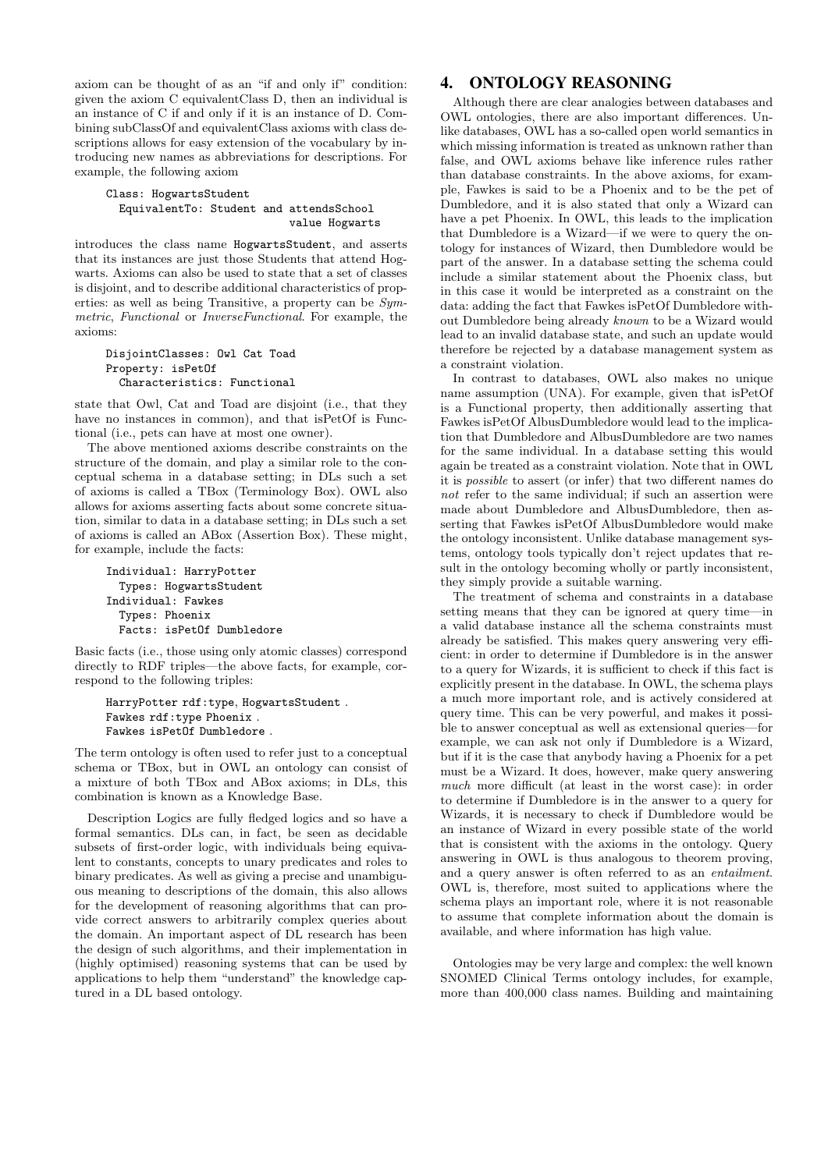axiom can be thought of as an "if and only if" condition: given the axiom C equivalentClass D, then an individual is an instance of C if and only if it is an instance of D. Combining subClassOf and equivalentClass axioms with class descriptions allows for easy extension of the vocabulary by introducing new names as abbreviations for descriptions. For example, the following axiom

```
Class: HogwartsStudent
  EquivalentTo: Student and attendsSchool
                            value Hogwarts
```
introduces the class name HogwartsStudent, and asserts that its instances are just those Students that attend Hogwarts. Axioms can also be used to state that a set of classes is disjoint, and to describe additional characteristics of properties: as well as being Transitive, a property can be Symmetric, Functional or InverseFunctional. For example, the axioms:

```
DisjointClasses: Owl Cat Toad
Property: isPetOf
  Characteristics: Functional
```
state that Owl, Cat and Toad are disjoint (i.e., that they have no instances in common), and that isPetOf is Functional (i.e., pets can have at most one owner).

The above mentioned axioms describe constraints on the structure of the domain, and play a similar role to the conceptual schema in a database setting; in DLs such a set of axioms is called a TBox (Terminology Box). OWL also allows for axioms asserting facts about some concrete situation, similar to data in a database setting; in DLs such a set of axioms is called an ABox (Assertion Box). These might, for example, include the facts:

```
Individual: HarryPotter
  Types: HogwartsStudent
Individual: Fawkes
  Types: Phoenix
  Facts: isPetOf Dumbledore
```
Basic facts (i.e., those using only atomic classes) correspond directly to RDF triples—the above facts, for example, correspond to the following triples:

```
HarryPotter rdf:type, HogwartsStudent .
Fawkes rdf:type Phoenix .
Fawkes isPetOf Dumbledore .
```
The term ontology is often used to refer just to a conceptual schema or TBox, but in OWL an ontology can consist of a mixture of both TBox and ABox axioms; in DLs, this combination is known as a Knowledge Base.

Description Logics are fully fledged logics and so have a formal semantics. DLs can, in fact, be seen as decidable subsets of first-order logic, with individuals being equivalent to constants, concepts to unary predicates and roles to binary predicates. As well as giving a precise and unambiguous meaning to descriptions of the domain, this also allows for the development of reasoning algorithms that can provide correct answers to arbitrarily complex queries about the domain. An important aspect of DL research has been the design of such algorithms, and their implementation in (highly optimised) reasoning systems that can be used by applications to help them "understand" the knowledge captured in a DL based ontology.

# 4. ONTOLOGY REASONING

Although there are clear analogies between databases and OWL ontologies, there are also important differences. Unlike databases, OWL has a so-called open world semantics in which missing information is treated as unknown rather than false, and OWL axioms behave like inference rules rather than database constraints. In the above axioms, for example, Fawkes is said to be a Phoenix and to be the pet of Dumbledore, and it is also stated that only a Wizard can have a pet Phoenix. In OWL, this leads to the implication that Dumbledore is a Wizard—if we were to query the ontology for instances of Wizard, then Dumbledore would be part of the answer. In a database setting the schema could include a similar statement about the Phoenix class, but in this case it would be interpreted as a constraint on the data: adding the fact that Fawkes isPetOf Dumbledore without Dumbledore being already known to be a Wizard would lead to an invalid database state, and such an update would therefore be rejected by a database management system as a constraint violation.

In contrast to databases, OWL also makes no unique name assumption (UNA). For example, given that isPetOf is a Functional property, then additionally asserting that Fawkes isPetOf AlbusDumbledore would lead to the implication that Dumbledore and AlbusDumbledore are two names for the same individual. In a database setting this would again be treated as a constraint violation. Note that in OWL it is possible to assert (or infer) that two different names do not refer to the same individual; if such an assertion were made about Dumbledore and AlbusDumbledore, then asserting that Fawkes isPetOf AlbusDumbledore would make the ontology inconsistent. Unlike database management systems, ontology tools typically don't reject updates that result in the ontology becoming wholly or partly inconsistent, they simply provide a suitable warning.

The treatment of schema and constraints in a database setting means that they can be ignored at query time—in a valid database instance all the schema constraints must already be satisfied. This makes query answering very efficient: in order to determine if Dumbledore is in the answer to a query for Wizards, it is sufficient to check if this fact is explicitly present in the database. In OWL, the schema plays a much more important role, and is actively considered at query time. This can be very powerful, and makes it possible to answer conceptual as well as extensional queries—for example, we can ask not only if Dumbledore is a Wizard, but if it is the case that anybody having a Phoenix for a pet must be a Wizard. It does, however, make query answering much more difficult (at least in the worst case): in order to determine if Dumbledore is in the answer to a query for Wizards, it is necessary to check if Dumbledore would be an instance of Wizard in every possible state of the world that is consistent with the axioms in the ontology. Query answering in OWL is thus analogous to theorem proving, and a query answer is often referred to as an entailment. OWL is, therefore, most suited to applications where the schema plays an important role, where it is not reasonable to assume that complete information about the domain is available, and where information has high value.

Ontologies may be very large and complex: the well known SNOMED Clinical Terms ontology includes, for example, more than 400,000 class names. Building and maintaining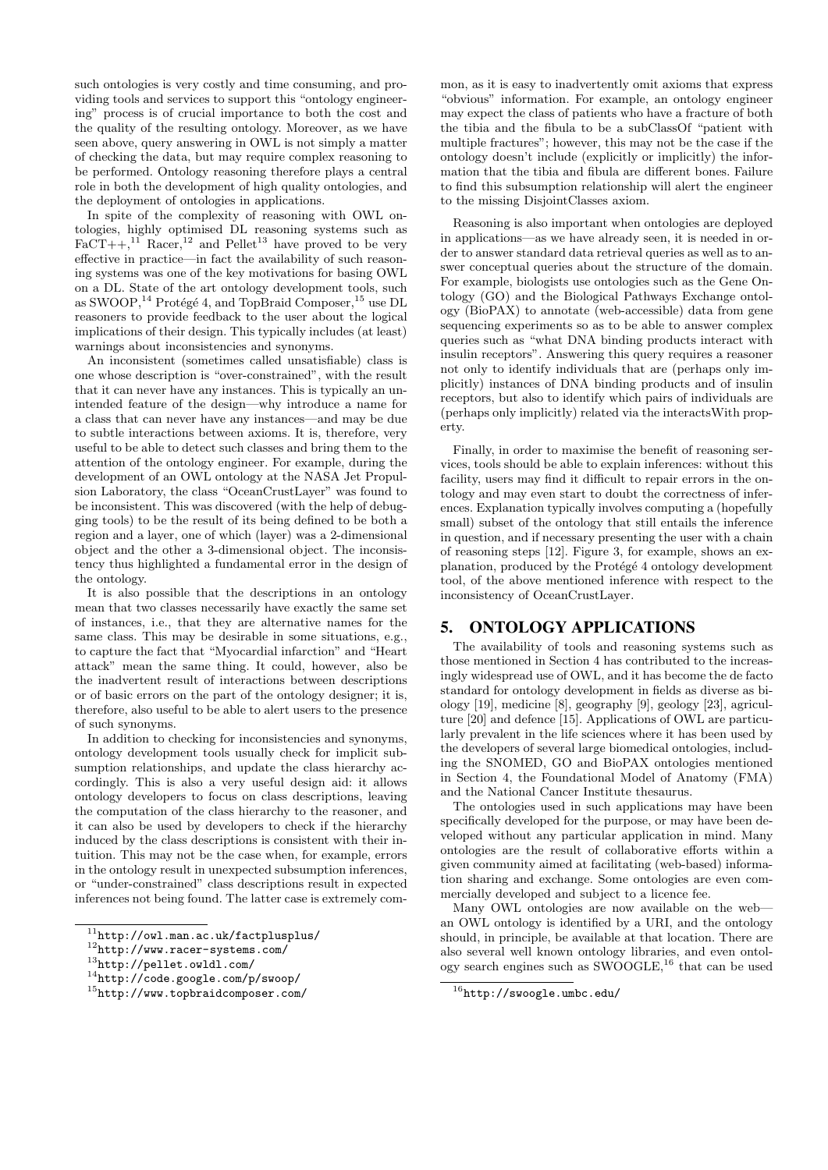such ontologies is very costly and time consuming, and providing tools and services to support this "ontology engineering" process is of crucial importance to both the cost and the quality of the resulting ontology. Moreover, as we have seen above, query answering in OWL is not simply a matter of checking the data, but may require complex reasoning to be performed. Ontology reasoning therefore plays a central role in both the development of high quality ontologies, and the deployment of ontologies in applications.

In spite of the complexity of reasoning with OWL ontologies, highly optimised DL reasoning systems such as  $FaCT++$ ,<sup>11</sup> Racer,<sup>12</sup> and Pellet<sup>13</sup> have proved to be very effective in practice—in fact the availability of such reasoning systems was one of the key motivations for basing OWL on a DL. State of the art ontology development tools, such as SWOOP,<sup>14</sup> Protégé 4, and TopBraid Composer,<sup>15</sup> use DL reasoners to provide feedback to the user about the logical implications of their design. This typically includes (at least) warnings about inconsistencies and synonyms.

An inconsistent (sometimes called unsatisfiable) class is one whose description is "over-constrained", with the result that it can never have any instances. This is typically an unintended feature of the design—why introduce a name for a class that can never have any instances—and may be due to subtle interactions between axioms. It is, therefore, very useful to be able to detect such classes and bring them to the attention of the ontology engineer. For example, during the development of an OWL ontology at the NASA Jet Propulsion Laboratory, the class "OceanCrustLayer" was found to be inconsistent. This was discovered (with the help of debugging tools) to be the result of its being defined to be both a region and a layer, one of which (layer) was a 2-dimensional object and the other a 3-dimensional object. The inconsistency thus highlighted a fundamental error in the design of the ontology.

It is also possible that the descriptions in an ontology mean that two classes necessarily have exactly the same set of instances, i.e., that they are alternative names for the same class. This may be desirable in some situations, e.g., to capture the fact that "Myocardial infarction" and "Heart attack" mean the same thing. It could, however, also be the inadvertent result of interactions between descriptions or of basic errors on the part of the ontology designer; it is, therefore, also useful to be able to alert users to the presence of such synonyms.

In addition to checking for inconsistencies and synonyms, ontology development tools usually check for implicit subsumption relationships, and update the class hierarchy accordingly. This is also a very useful design aid: it allows ontology developers to focus on class descriptions, leaving the computation of the class hierarchy to the reasoner, and it can also be used by developers to check if the hierarchy induced by the class descriptions is consistent with their intuition. This may not be the case when, for example, errors in the ontology result in unexpected subsumption inferences, or "under-constrained" class descriptions result in expected inferences not being found. The latter case is extremely com-

mon, as it is easy to inadvertently omit axioms that express "obvious" information. For example, an ontology engineer may expect the class of patients who have a fracture of both the tibia and the fibula to be a subClassOf "patient with multiple fractures"; however, this may not be the case if the ontology doesn't include (explicitly or implicitly) the information that the tibia and fibula are different bones. Failure to find this subsumption relationship will alert the engineer to the missing DisjointClasses axiom.

Reasoning is also important when ontologies are deployed in applications—as we have already seen, it is needed in order to answer standard data retrieval queries as well as to answer conceptual queries about the structure of the domain. For example, biologists use ontologies such as the Gene Ontology (GO) and the Biological Pathways Exchange ontology (BioPAX) to annotate (web-accessible) data from gene sequencing experiments so as to be able to answer complex queries such as "what DNA binding products interact with insulin receptors". Answering this query requires a reasoner not only to identify individuals that are (perhaps only implicitly) instances of DNA binding products and of insulin receptors, but also to identify which pairs of individuals are (perhaps only implicitly) related via the interactsWith property.

Finally, in order to maximise the benefit of reasoning services, tools should be able to explain inferences: without this facility, users may find it difficult to repair errors in the ontology and may even start to doubt the correctness of inferences. Explanation typically involves computing a (hopefully small) subset of the ontology that still entails the inference in question, and if necessary presenting the user with a chain of reasoning steps [12]. Figure 3, for example, shows an explanation, produced by the Protégé 4 ontology development tool, of the above mentioned inference with respect to the inconsistency of OceanCrustLayer.

# 5. ONTOLOGY APPLICATIONS

The availability of tools and reasoning systems such as those mentioned in Section 4 has contributed to the increasingly widespread use of OWL, and it has become the de facto standard for ontology development in fields as diverse as biology [19], medicine [8], geography [9], geology [23], agriculture [20] and defence [15]. Applications of OWL are particularly prevalent in the life sciences where it has been used by the developers of several large biomedical ontologies, including the SNOMED, GO and BioPAX ontologies mentioned in Section 4, the Foundational Model of Anatomy (FMA) and the National Cancer Institute thesaurus.

The ontologies used in such applications may have been specifically developed for the purpose, or may have been developed without any particular application in mind. Many ontologies are the result of collaborative efforts within a given community aimed at facilitating (web-based) information sharing and exchange. Some ontologies are even commercially developed and subject to a licence fee.

Many OWL ontologies are now available on the web an OWL ontology is identified by a URI, and the ontology should, in principle, be available at that location. There are also several well known ontology libraries, and even ontology search engines such as SWOOGLE,<sup>16</sup> that can be used

 $^{11}\mathrm{http://owl.man.ac.uk/factplusplus/}$ 

<sup>12</sup>http://www.racer-systems.com/

<sup>13</sup>http://pellet.owldl.com/

<sup>14</sup>http://code.google.com/p/swoop/

 $15$ http://www.topbraidcomposer.com/

 $16$ http://swoogle.umbc.edu/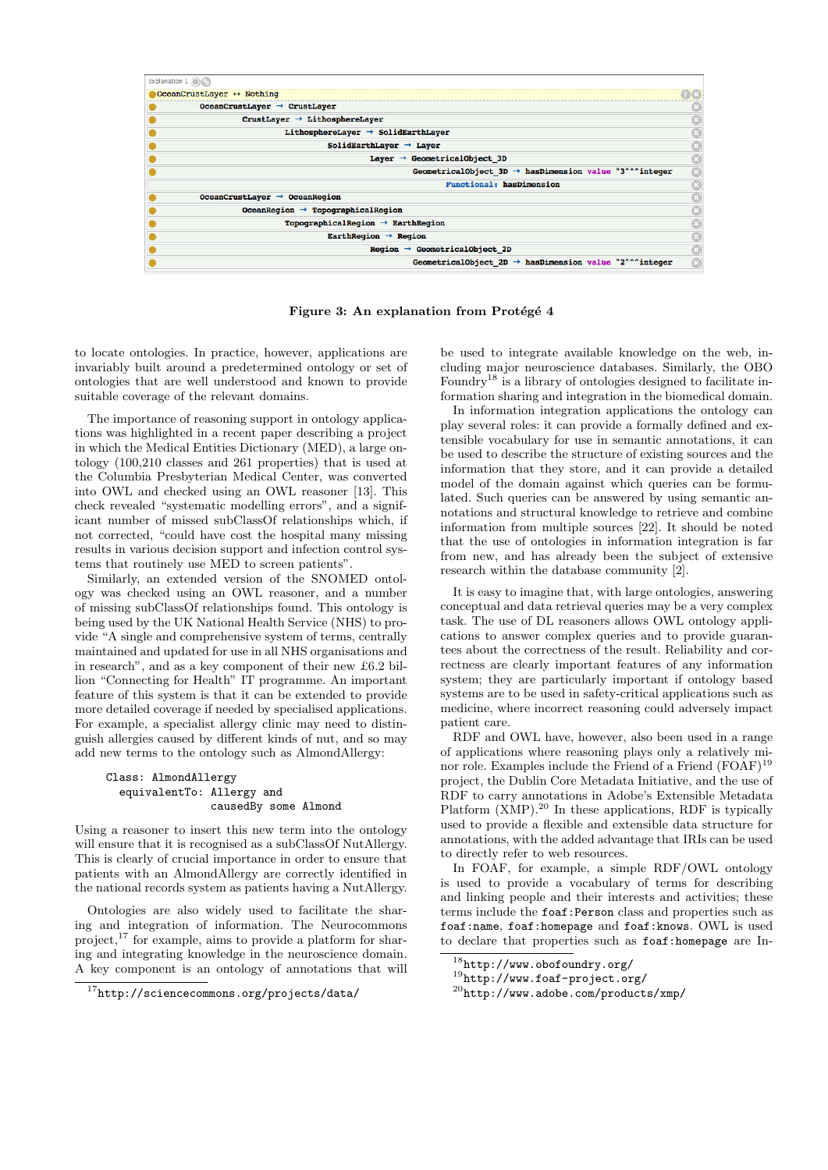

Figure 3: An explanation from Protégé 4

to locate ontologies. In practice, however, applications are invariably built around a predetermined ontology or set of ontologies that are well understood and known to provide suitable coverage of the relevant domains.

The importance of reasoning support in ontology applications was highlighted in a recent paper describing a project in which the Medical Entities Dictionary (MED), a large ontology (100,210 classes and 261 properties) that is used at the Columbia Presbyterian Medical Center, was converted into OWL and checked using an OWL reasoner [13]. This check revealed "systematic modelling errors", and a significant number of missed subClassOf relationships which, if not corrected, "could have cost the hospital many missing results in various decision support and infection control systems that routinely use MED to screen patients".

Similarly, an extended version of the SNOMED ontology was checked using an OWL reasoner, and a number of missing subClassOf relationships found. This ontology is being used by the UK National Health Service (NHS) to provide "A single and comprehensive system of terms, centrally maintained and updated for use in all NHS organisations and in research", and as a key component of their new £6.2 billion "Connecting for Health" IT programme. An important feature of this system is that it can be extended to provide more detailed coverage if needed by specialised applications. For example, a specialist allergy clinic may need to distinguish allergies caused by different kinds of nut, and so may add new terms to the ontology such as AlmondAllergy:

### Class: AlmondAllergy equivalentTo: Allergy and causedBy some Almond

Using a reasoner to insert this new term into the ontology will ensure that it is recognised as a subClassOf NutAllergy. This is clearly of crucial importance in order to ensure that patients with an AlmondAllergy are correctly identified in the national records system as patients having a NutAllergy.

Ontologies are also widely used to facilitate the sharing and integration of information. The Neurocommons project,<sup>17</sup> for example, aims to provide a platform for sharing and integrating knowledge in the neuroscience domain. A key component is an ontology of annotations that will

be used to integrate available knowledge on the web, including major neuroscience databases. Similarly, the OBO Foundry<sup>18</sup> is a library of ontologies designed to facilitate information sharing and integration in the biomedical domain.

In information integration applications the ontology can play several roles: it can provide a formally defined and extensible vocabulary for use in semantic annotations, it can be used to describe the structure of existing sources and the information that they store, and it can provide a detailed model of the domain against which queries can be formulated. Such queries can be answered by using semantic annotations and structural knowledge to retrieve and combine information from multiple sources [22]. It should be noted that the use of ontologies in information integration is far from new, and has already been the subject of extensive research within the database community [2].

It is easy to imagine that, with large ontologies, answering conceptual and data retrieval queries may be a very complex task. The use of DL reasoners allows OWL ontology applications to answer complex queries and to provide guarantees about the correctness of the result. Reliability and correctness are clearly important features of any information system; they are particularly important if ontology based systems are to be used in safety-critical applications such as medicine, where incorrect reasoning could adversely impact patient care.

RDF and OWL have, however, also been used in a range of applications where reasoning plays only a relatively minor role. Examples include the Friend of a Friend (FOAF)<sup>19</sup> project, the Dublin Core Metadata Initiative, and the use of RDF to carry annotations in Adobe's Extensible Metadata Platform  $(XMP)$ .<sup>20</sup> In these applications, RDF is typically used to provide a flexible and extensible data structure for annotations, with the added advantage that IRIs can be used to directly refer to web resources.

In FOAF, for example, a simple RDF/OWL ontology is used to provide a vocabulary of terms for describing and linking people and their interests and activities; these terms include the foaf:Person class and properties such as foaf:name, foaf:homepage and foaf:knows. OWL is used to declare that properties such as foaf:homepage are In-

 $17$ http://sciencecommons.org/projects/data/

<sup>18</sup>http://www.obofoundry.org/

<sup>19</sup>http://www.foaf-project.org/

<sup>20</sup>http://www.adobe.com/products/xmp/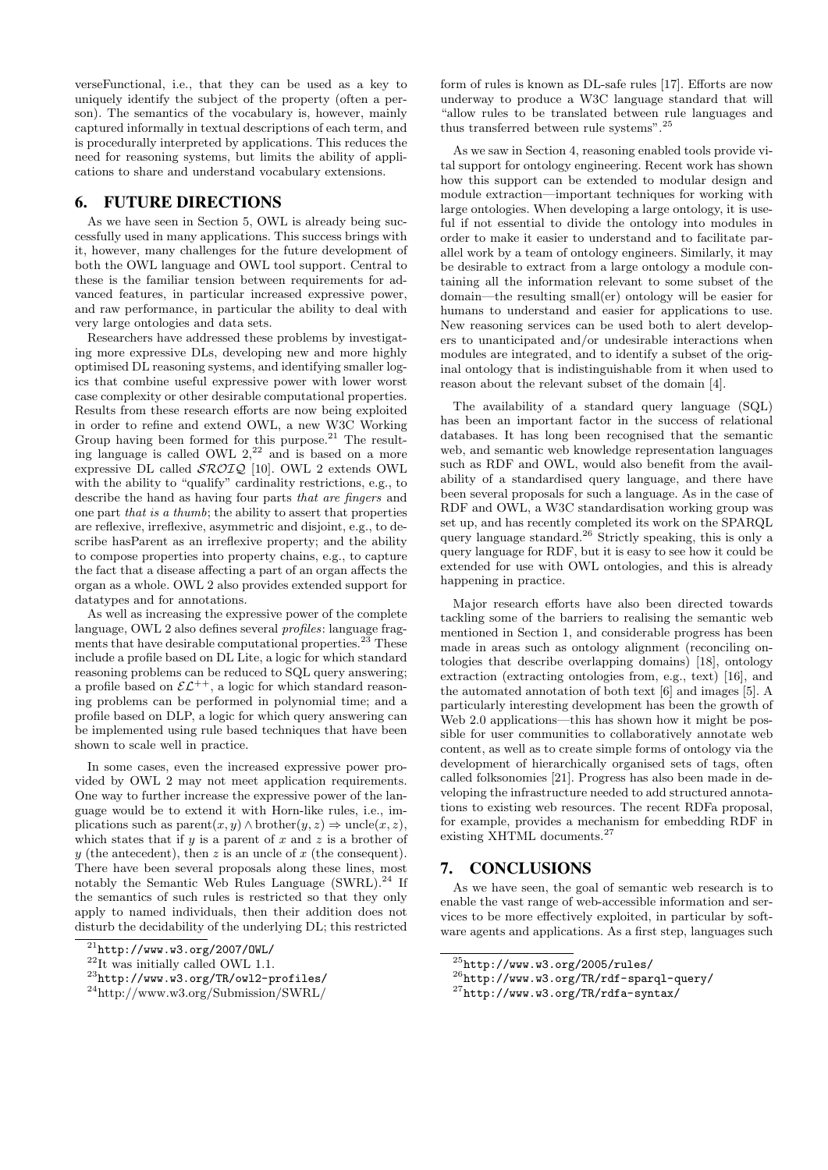verseFunctional, i.e., that they can be used as a key to uniquely identify the subject of the property (often a person). The semantics of the vocabulary is, however, mainly captured informally in textual descriptions of each term, and is procedurally interpreted by applications. This reduces the need for reasoning systems, but limits the ability of applications to share and understand vocabulary extensions.

## 6. FUTURE DIRECTIONS

As we have seen in Section 5, OWL is already being successfully used in many applications. This success brings with it, however, many challenges for the future development of both the OWL language and OWL tool support. Central to these is the familiar tension between requirements for advanced features, in particular increased expressive power, and raw performance, in particular the ability to deal with very large ontologies and data sets.

Researchers have addressed these problems by investigating more expressive DLs, developing new and more highly optimised DL reasoning systems, and identifying smaller logics that combine useful expressive power with lower worst case complexity or other desirable computational properties. Results from these research efforts are now being exploited in order to refine and extend OWL, a new W3C Working Group having been formed for this purpose.<sup>21</sup> The resulting language is called OWL  $2<sup>22</sup>$  and is based on a more expressive DL called  $\mathcal{SROTQ}$  [10]. OWL 2 extends OWL with the ability to "qualify" cardinality restrictions, e.g., to describe the hand as having four parts that are fingers and one part that is a thumb; the ability to assert that properties are reflexive, irreflexive, asymmetric and disjoint, e.g., to describe hasParent as an irreflexive property; and the ability to compose properties into property chains, e.g., to capture the fact that a disease affecting a part of an organ affects the organ as a whole. OWL 2 also provides extended support for datatypes and for annotations.

As well as increasing the expressive power of the complete language, OWL 2 also defines several profiles: language fragments that have desirable computational properties.<sup>23</sup> These include a profile based on DL Lite, a logic for which standard reasoning problems can be reduced to SQL query answering; a profile based on  $\mathcal{EL}^{++}$ , a logic for which standard reasoning problems can be performed in polynomial time; and a profile based on DLP, a logic for which query answering can be implemented using rule based techniques that have been shown to scale well in practice.

In some cases, even the increased expressive power provided by OWL 2 may not meet application requirements. One way to further increase the expressive power of the language would be to extend it with Horn-like rules, i.e., implications such as  $\text{parent}(x, y) \land \text{brother}(y, z) \Rightarrow \text{uncle}(x, z),$ which states that if  $y$  is a parent of  $x$  and  $z$  is a brother of  $y$  (the antecedent), then  $z$  is an uncle of  $x$  (the consequent). There have been several proposals along these lines, most notably the Semantic Web Rules Language (SWRL).<sup>24</sup> If the semantics of such rules is restricted so that they only apply to named individuals, then their addition does not disturb the decidability of the underlying DL; this restricted

form of rules is known as DL-safe rules [17]. Efforts are now underway to produce a W3C language standard that will "allow rules to be translated between rule languages and thus transferred between rule systems".<sup>25</sup>

As we saw in Section 4, reasoning enabled tools provide vital support for ontology engineering. Recent work has shown how this support can be extended to modular design and module extraction—important techniques for working with large ontologies. When developing a large ontology, it is useful if not essential to divide the ontology into modules in order to make it easier to understand and to facilitate parallel work by a team of ontology engineers. Similarly, it may be desirable to extract from a large ontology a module containing all the information relevant to some subset of the domain—the resulting small(er) ontology will be easier for humans to understand and easier for applications to use. New reasoning services can be used both to alert developers to unanticipated and/or undesirable interactions when modules are integrated, and to identify a subset of the original ontology that is indistinguishable from it when used to reason about the relevant subset of the domain [4].

The availability of a standard query language (SQL) has been an important factor in the success of relational databases. It has long been recognised that the semantic web, and semantic web knowledge representation languages such as RDF and OWL, would also benefit from the availability of a standardised query language, and there have been several proposals for such a language. As in the case of RDF and OWL, a W3C standardisation working group was set up, and has recently completed its work on the SPARQL query language standard.<sup>26</sup> Strictly speaking, this is only a query language for RDF, but it is easy to see how it could be extended for use with OWL ontologies, and this is already happening in practice.

Major research efforts have also been directed towards tackling some of the barriers to realising the semantic web mentioned in Section 1, and considerable progress has been made in areas such as ontology alignment (reconciling ontologies that describe overlapping domains) [18], ontology extraction (extracting ontologies from, e.g., text) [16], and the automated annotation of both text [6] and images [5]. A particularly interesting development has been the growth of Web 2.0 applications—this has shown how it might be possible for user communities to collaboratively annotate web content, as well as to create simple forms of ontology via the development of hierarchically organised sets of tags, often called folksonomies [21]. Progress has also been made in developing the infrastructure needed to add structured annotations to existing web resources. The recent RDFa proposal, for example, provides a mechanism for embedding RDF in existing XHTML documents.<sup>27</sup>

# 7. CONCLUSIONS

As we have seen, the goal of semantic web research is to enable the vast range of web-accessible information and services to be more effectively exploited, in particular by software agents and applications. As a first step, languages such

 $^{21}$ http://www.w3.org/2007/OWL/

 $22$ It was initially called OWL 1.1.

<sup>23</sup>http://www.w3.org/TR/owl2-profiles/

<sup>24</sup>http://www.w3.org/Submission/SWRL/

 $^{25}$ http://www.w3.org/2005/rules/

<sup>26</sup>http://www.w3.org/TR/rdf-sparql-query/

<sup>27</sup>http://www.w3.org/TR/rdfa-syntax/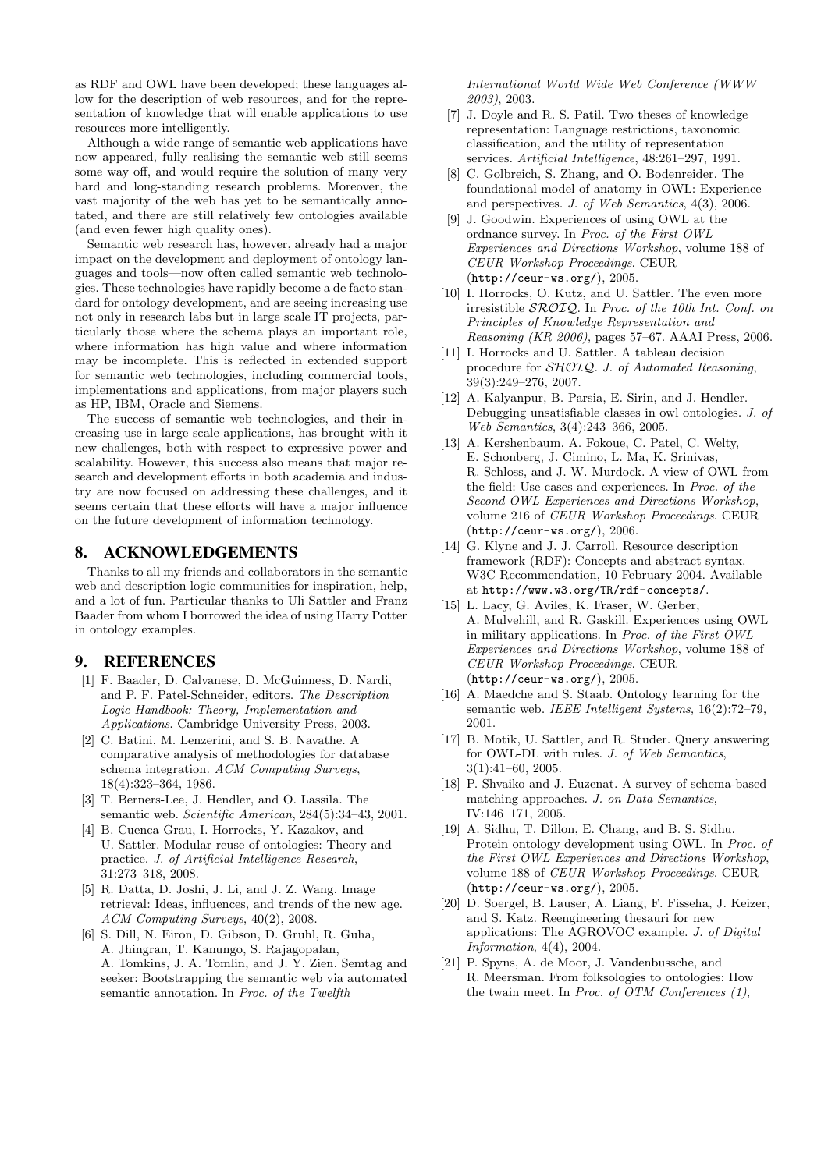as RDF and OWL have been developed; these languages allow for the description of web resources, and for the representation of knowledge that will enable applications to use resources more intelligently.

Although a wide range of semantic web applications have now appeared, fully realising the semantic web still seems some way off, and would require the solution of many very hard and long-standing research problems. Moreover, the vast majority of the web has yet to be semantically annotated, and there are still relatively few ontologies available (and even fewer high quality ones).

Semantic web research has, however, already had a major impact on the development and deployment of ontology languages and tools—now often called semantic web technologies. These technologies have rapidly become a de facto standard for ontology development, and are seeing increasing use not only in research labs but in large scale IT projects, particularly those where the schema plays an important role, where information has high value and where information may be incomplete. This is reflected in extended support for semantic web technologies, including commercial tools, implementations and applications, from major players such as HP, IBM, Oracle and Siemens.

The success of semantic web technologies, and their increasing use in large scale applications, has brought with it new challenges, both with respect to expressive power and scalability. However, this success also means that major research and development efforts in both academia and industry are now focused on addressing these challenges, and it seems certain that these efforts will have a major influence on the future development of information technology.

## 8. ACKNOWLEDGEMENTS

Thanks to all my friends and collaborators in the semantic web and description logic communities for inspiration, help, and a lot of fun. Particular thanks to Uli Sattler and Franz Baader from whom I borrowed the idea of using Harry Potter in ontology examples.

# 9. REFERENCES

- [1] F. Baader, D. Calvanese, D. McGuinness, D. Nardi, and P. F. Patel-Schneider, editors. The Description Logic Handbook: Theory, Implementation and Applications. Cambridge University Press, 2003.
- [2] C. Batini, M. Lenzerini, and S. B. Navathe. A comparative analysis of methodologies for database schema integration. ACM Computing Surveys, 18(4):323–364, 1986.
- [3] T. Berners-Lee, J. Hendler, and O. Lassila. The semantic web. Scientific American, 284(5):34–43, 2001.
- [4] B. Cuenca Grau, I. Horrocks, Y. Kazakov, and U. Sattler. Modular reuse of ontologies: Theory and practice. J. of Artificial Intelligence Research, 31:273–318, 2008.
- [5] R. Datta, D. Joshi, J. Li, and J. Z. Wang. Image retrieval: Ideas, influences, and trends of the new age. ACM Computing Surveys, 40(2), 2008.
- [6] S. Dill, N. Eiron, D. Gibson, D. Gruhl, R. Guha, A. Jhingran, T. Kanungo, S. Rajagopalan, A. Tomkins, J. A. Tomlin, and J. Y. Zien. Semtag and seeker: Bootstrapping the semantic web via automated semantic annotation. In Proc. of the Twelfth

International World Wide Web Conference (WWW 2003), 2003.

- [7] J. Doyle and R. S. Patil. Two theses of knowledge representation: Language restrictions, taxonomic classification, and the utility of representation services. Artificial Intelligence, 48:261–297, 1991.
- [8] C. Golbreich, S. Zhang, and O. Bodenreider. The foundational model of anatomy in OWL: Experience and perspectives. J. of Web Semantics, 4(3), 2006.
- [9] J. Goodwin. Experiences of using OWL at the ordnance survey. In Proc. of the First OWL Experiences and Directions Workshop, volume 188 of CEUR Workshop Proceedings. CEUR (http://ceur-ws.org/), 2005.
- [10] I. Horrocks, O. Kutz, and U. Sattler. The even more irresistible SROIQ. In Proc. of the 10th Int. Conf. on Principles of Knowledge Representation and Reasoning (KR 2006), pages 57–67. AAAI Press, 2006.
- [11] I. Horrocks and U. Sattler. A tableau decision procedure for SHOIQ. J. of Automated Reasoning, 39(3):249–276, 2007.
- [12] A. Kalyanpur, B. Parsia, E. Sirin, and J. Hendler. Debugging unsatisfiable classes in owl ontologies. J. of Web Semantics, 3(4):243–366, 2005.
- [13] A. Kershenbaum, A. Fokoue, C. Patel, C. Welty, E. Schonberg, J. Cimino, L. Ma, K. Srinivas, R. Schloss, and J. W. Murdock. A view of OWL from the field: Use cases and experiences. In Proc. of the Second OWL Experiences and Directions Workshop, volume 216 of CEUR Workshop Proceedings. CEUR (http://ceur-ws.org/), 2006.
- [14] G. Klyne and J. J. Carroll. Resource description framework (RDF): Concepts and abstract syntax. W3C Recommendation, 10 February 2004. Available at http://www.w3.org/TR/rdf-concepts/.
- [15] L. Lacy, G. Aviles, K. Fraser, W. Gerber, A. Mulvehill, and R. Gaskill. Experiences using OWL in military applications. In Proc. of the First OWL Experiences and Directions Workshop, volume 188 of CEUR Workshop Proceedings. CEUR (http://ceur-ws.org/), 2005.
- [16] A. Maedche and S. Staab. Ontology learning for the semantic web. IEEE Intelligent Systems,  $16(2)$ :72–79, 2001.
- [17] B. Motik, U. Sattler, and R. Studer. Query answering for OWL-DL with rules. J. of Web Semantics, 3(1):41–60, 2005.
- [18] P. Shvaiko and J. Euzenat. A survey of schema-based matching approaches. J. on Data Semantics, IV:146–171, 2005.
- [19] A. Sidhu, T. Dillon, E. Chang, and B. S. Sidhu. Protein ontology development using OWL. In Proc. of the First OWL Experiences and Directions Workshop, volume 188 of CEUR Workshop Proceedings. CEUR (http://ceur-ws.org/), 2005.
- [20] D. Soergel, B. Lauser, A. Liang, F. Fisseha, J. Keizer, and S. Katz. Reengineering thesauri for new applications: The AGROVOC example. J. of Digital Information, 4(4), 2004.
- [21] P. Spyns, A. de Moor, J. Vandenbussche, and R. Meersman. From folksologies to ontologies: How the twain meet. In Proc. of OTM Conferences (1),